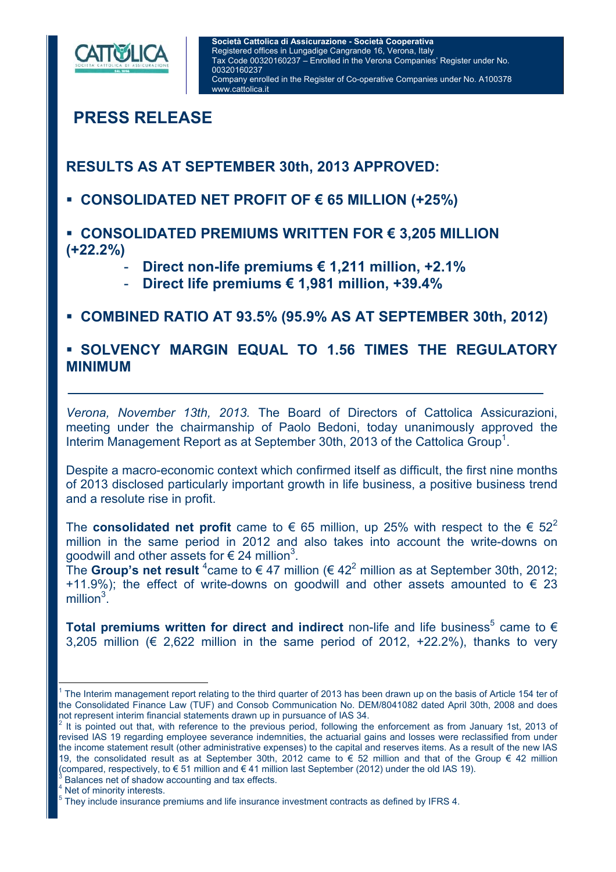

 $\overline{1}$ 

**PRESS RELEASE**

**RESULTS AS AT SEPTEMBER 30th, 2013 APPROVED:** 

- **CONSOLIDATED NET PROFIT OF € 65 MILLION (+25%)**
- **CONSOLIDATED PREMIUMS WRITTEN FOR € 3,205 MILLION (+22.2%)** 
	- **Direct non-life premiums € 1,211 million, +2.1%**
	- **Direct life premiums € 1,981 million, +39.4%**

## **COMBINED RATIO AT 93.5% (95.9% AS AT SEPTEMBER 30th, 2012)**

### **SOLVENCY MARGIN EQUAL TO 1.56 TIMES THE REGULATORY MINIMUM**

*Verona, November 13th, 2013.* The Board of Directors of Cattolica Assicurazioni, meeting under the chairmanship of Paolo Bedoni, today unanimously approved the Interim Management Report as at September 30th, 2013 of the Cattolica Group<sup>1</sup>.

Despite a macro-economic context which confirmed itself as difficult, the first nine months of 2013 disclosed particularly important growth in life business, a positive business trend and a resolute rise in profit.

The **consolidated net profit** came to  $\epsilon$  65 million, up 25% with respect to the  $\epsilon$  52<sup>2</sup> million in the same period in 2012 and also takes into account the write-downs on goodwill and other assets for  $\in$  24 million<sup>3</sup>.

The Group's net result  $^4$ came to  $\in$  47 million ( $\in$  42<sup>2</sup> million as at September 30th, 2012; +11.9%); the effect of write-downs on goodwill and other assets amounted to  $\epsilon$  23  $m$ illion $3^2$ .

Total premiums written for direct and indirect non-life and life business<sup>5</sup> came to  $\epsilon$ 3,205 million ( $\epsilon$  2,622 million in the same period of 2012, +22.2%), thanks to very

 Balances net of shadow accounting and tax effects. 4

 Net of minority interests. 5

<sup>1</sup> The Interim management report relating to the third quarter of 2013 has been drawn up on the basis of Article 154 ter of the Consolidated Finance Law (TUF) and Consob Communication No. DEM/8041082 dated April 30th, 2008 and does

not represent interim financial statements drawn up in pursuance of IAS 34.<br><sup>2</sup> It is pointed out that, with reference to the previous period, following the enforcement as from January 1st, 2013 of revised IAS 19 regarding employee severance indemnities, the actuarial gains and losses were reclassified from under the income statement result (other administrative expenses) to the capital and reserves items. As a result of the new IAS 19, the consolidated result as at September 30th, 2012 came to € 52 million and that of the Group € 42 million (compared, respectively, to  $\in$  51 million and  $\in$  41 million last September (2012) under the old IAS 19).

They include insurance premiums and life insurance investment contracts as defined by IFRS 4.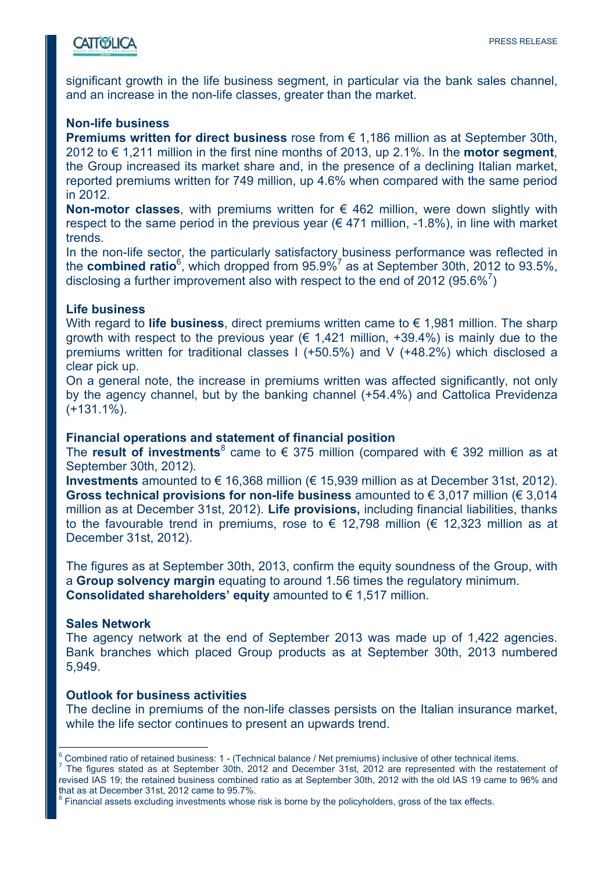# **CATTOSLICA**

significant growth in the life business segment, in particular via the bank sales channel, and an increase in the non-life classes, greater than the market.

#### **Non-life business**

**Premiums written for direct business** rose from € 1,186 million as at September 30th, 2012 to € 1,211 million in the first nine months of 2013, up 2.1%. In the **motor segment**, the Group increased its market share and, in the presence of a declining Italian market, reported premiums written for 749 million, up 4.6% when compared with the same period in 2012.

**Non-motor classes**, with premiums written for € 462 million, were down slightly with respect to the same period in the previous year  $(\epsilon 471$  million, -1.8%), in line with market trends.

In the non-life sector, the particularly satisfactory business performance was reflected in the **combined ratio**<sup>6</sup>, which dropped from 95.9%<sup>7</sup> as at September 30th, 2012 to 93.5%, disclosing a further improvement also with respect to the end of 2012 (95.6% $^7$ )

#### **Life business**

With regard to **life business**, direct premiums written came to € 1,981 million. The sharp growth with respect to the previous year ( $\epsilon$  1,421 million, +39.4%) is mainly due to the premiums written for traditional classes I (+50.5%) and V (+48.2%) which disclosed a clear pick up.

On a general note, the increase in premiums written was affected significantly, not only by the agency channel, but by the banking channel (+54.4%) and Cattolica Previdenza (+131.1%).

#### **Financial operations and statement of financial position**

The **result of investments**<sup>8</sup> came to € 375 million (compared with € 392 million as at September 30th, 2012).

**Investments** amounted to € 16,368 million (€ 15,939 million as at December 31st, 2012). **Gross technical provisions for non-life business** amounted to € 3,017 million (€ 3,014 million as at December 31st, 2012). **Life provisions,** including financial liabilities, thanks to the favourable trend in premiums, rose to  $\epsilon$  12,798 million ( $\epsilon$  12,323 million as at December 31st, 2012).

The figures as at September 30th, 2013, confirm the equity soundness of the Group, with a **Group solvency margin** equating to around 1.56 times the regulatory minimum. **Consolidated shareholders' equity** amounted to € 1,517 million.

#### **Sales Network**

The agency network at the end of September 2013 was made up of 1,422 agencies. Bank branches which placed Group products as at September 30th, 2013 numbered 5,949.

#### **Outlook for business activities**

The decline in premiums of the non-life classes persists on the Italian insurance market, while the life sector continues to present an upwards trend.

 $\overline{a}$ 6 Combined ratio of retained business: 1 - (Technical balance / Net premiums) inclusive of other technical items.<br>The figures stated as at September 30th, 2012 and December 31st, 2012 are represented with the restatement of

revised IAS 19; the retained business combined ratio as at September 30th, 2012 with the old IAS 19 came to 96% and that as at December 31st, 2012 came to 95.7%.

<sup>8</sup> Financial assets excluding investments whose risk is borne by the policyholders, gross of the tax effects.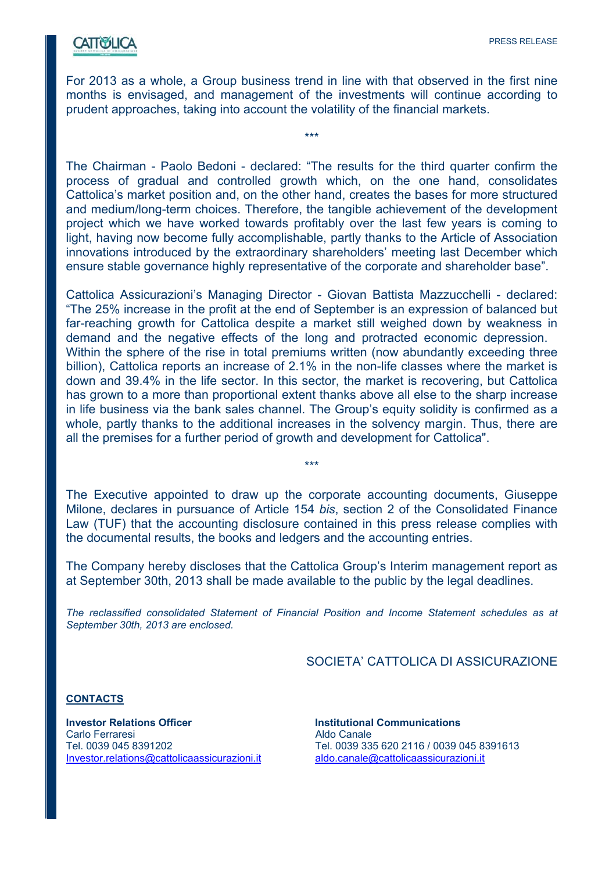## **CATTWELICA**

For 2013 as a whole, a Group business trend in line with that observed in the first nine months is envisaged, and management of the investments will continue according to prudent approaches, taking into account the volatility of the financial markets.

\*\*\*

The Chairman - Paolo Bedoni - declared: "The results for the third quarter confirm the process of gradual and controlled growth which, on the one hand, consolidates Cattolica's market position and, on the other hand, creates the bases for more structured and medium/long-term choices. Therefore, the tangible achievement of the development project which we have worked towards profitably over the last few years is coming to light, having now become fully accomplishable, partly thanks to the Article of Association innovations introduced by the extraordinary shareholders' meeting last December which ensure stable governance highly representative of the corporate and shareholder base".

Cattolica Assicurazioni's Managing Director - Giovan Battista Mazzucchelli - declared: "The 25% increase in the profit at the end of September is an expression of balanced but far-reaching growth for Cattolica despite a market still weighed down by weakness in demand and the negative effects of the long and protracted economic depression. Within the sphere of the rise in total premiums written (now abundantly exceeding three billion), Cattolica reports an increase of 2.1% in the non-life classes where the market is down and 39.4% in the life sector. In this sector, the market is recovering, but Cattolica has grown to a more than proportional extent thanks above all else to the sharp increase in life business via the bank sales channel. The Group's equity solidity is confirmed as a whole, partly thanks to the additional increases in the solvency margin. Thus, there are all the premises for a further period of growth and development for Cattolica".

The Executive appointed to draw up the corporate accounting documents, Giuseppe Milone, declares in pursuance of Article 154 *bis*, section 2 of the Consolidated Finance Law (TUF) that the accounting disclosure contained in this press release complies with the documental results, the books and ledgers and the accounting entries.

\*\*\*

The Company hereby discloses that the Cattolica Group's Interim management report as at September 30th, 2013 shall be made available to the public by the legal deadlines.

*The reclassified consolidated Statement of Financial Position and Income Statement schedules as at September 30th, 2013 are enclosed.* 

SOCIETA' CATTOLICA DI ASSICURAZIONE

**CONTACTS**

**Investor Relations Officer Institutional Communications** Carlo Ferraresi **Aldo Canale** Investor.relations@cattolicaassicurazioni.it aldo.canale@cattolicaassicurazioni.it

Tel. 0039 045 8391202 Tel. 0039 335 620 2116 / 0039 045 8391613